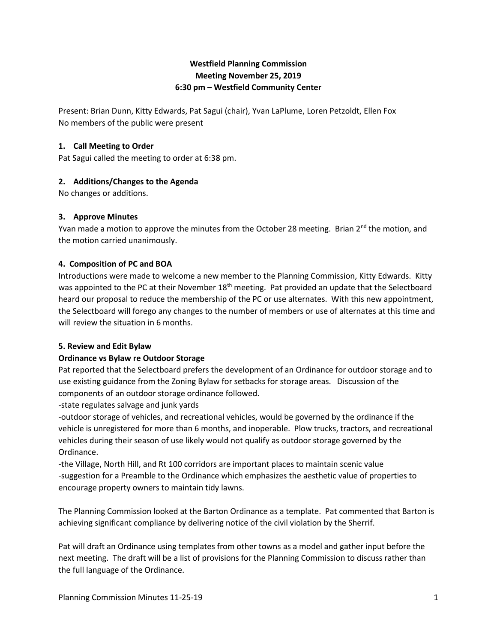# **Westfield Planning Commission Meeting November 25, 2019 6:30 pm – Westfield Community Center**

Present: Brian Dunn, Kitty Edwards, Pat Sagui (chair), Yvan LaPlume, Loren Petzoldt, Ellen Fox No members of the public were present

## **1. Call Meeting to Order**

Pat Sagui called the meeting to order at 6:38 pm.

# **2. Additions/Changes to the Agenda**

No changes or additions.

## **3. Approve Minutes**

Yvan made a motion to approve the minutes from the October 28 meeting. Brian 2<sup>nd</sup> the motion, and the motion carried unanimously.

## **4. Composition of PC and BOA**

Introductions were made to welcome a new member to the Planning Commission, Kitty Edwards. Kitty was appointed to the PC at their November 18<sup>th</sup> meeting. Pat provided an update that the Selectboard heard our proposal to reduce the membership of the PC or use alternates. With this new appointment, the Selectboard will forego any changes to the number of members or use of alternates at this time and will review the situation in 6 months.

### **5. Review and Edit Bylaw**

# **Ordinance vs Bylaw re Outdoor Storage**

Pat reported that the Selectboard prefers the development of an Ordinance for outdoor storage and to use existing guidance from the Zoning Bylaw for setbacks for storage areas. Discussion of the components of an outdoor storage ordinance followed.

-state regulates salvage and junk yards

-outdoor storage of vehicles, and recreational vehicles, would be governed by the ordinance if the vehicle is unregistered for more than 6 months, and inoperable. Plow trucks, tractors, and recreational vehicles during their season of use likely would not qualify as outdoor storage governed by the Ordinance.

-the Village, North Hill, and Rt 100 corridors are important places to maintain scenic value -suggestion for a Preamble to the Ordinance which emphasizes the aesthetic value of properties to encourage property owners to maintain tidy lawns.

The Planning Commission looked at the Barton Ordinance as a template. Pat commented that Barton is achieving significant compliance by delivering notice of the civil violation by the Sherrif.

Pat will draft an Ordinance using templates from other towns as a model and gather input before the next meeting. The draft will be a list of provisions for the Planning Commission to discuss rather than the full language of the Ordinance.